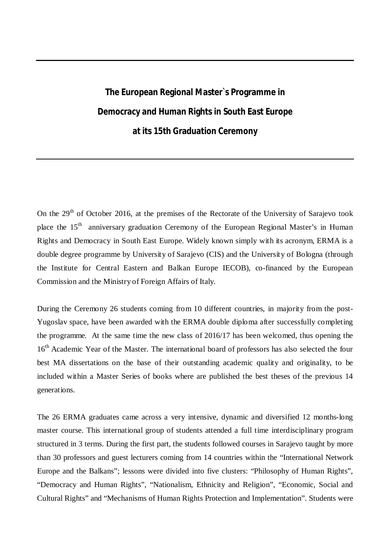## **The European Regional Master`s Programme in Democracy and Human Rights in South East Europe at its 15th Graduation Ceremony**

On the  $29<sup>th</sup>$  of October 2016, at the premises of the Rectorate of the University of Sarajevo took place the 15<sup>th</sup> anniversary graduation Ceremony of the European Regional Master's in Human Rights and Democracy in South East Europe. Widely known simply with its acronym, ERMA is a double degree programme by University of Sarajevo (CIS) and the University of Bologna (through the Institute for Central Eastern and Balkan Europe IECOB), co-financed by the European Commission and the Ministry of Foreign Affairs of Italy.

During the Ceremony 26 students coming from 10 different countries, in majority from the post-Yugoslav space, have been awarded with the ERMA double diploma after successfully completing the programme. At the same time the new class of 2016/17 has been welcomed, thus opening the 16<sup>th</sup> Academic Year of the Master. The international board of professors has also selected the four best MA dissertations on the base of their outstanding academic quality and originality, to be included within a Master Series of books where are published the best theses of the previous 14 generations.

The 26 ERMA graduates came across a very intensive, dynamic and diversified 12 months-long master course. This international group of students attended a full time interdisciplinary program structured in 3 terms. During the first part, the students followed courses in Sarajevo taught by more than 30 professors and guest lecturers coming from 14 countries within the "International Network Europe and the Balkans"; lessons were divided into five clusters: "Philosophy of Human Rights", "Democracy and Human Rights", "Nationalism, Ethnicity and Religion", "Economic, Social and Cultural Rights" and "Mechanisms of Human Rights Protection and Implementation". Students were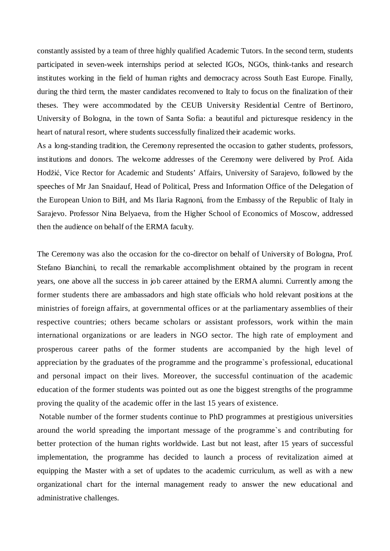constantly assisted by a team of three highly qualified Academic Tutors. In the second term, students participated in seven-week internships period at selected IGOs, NGOs, think-tanks and research institutes working in the field of human rights and democracy across South East Europe. Finally, during the third term, the master candidates reconvened to Italy to focus on the finalization of their theses. They were accommodated by the CEUB University Residential Centre of Bertinoro, University of Bologna, in the town of Santa Sofia: a beautiful and picturesque residency in the heart of natural resort, where students successfully finalized their academic works.

As a long-standing tradition, the Ceremony represented the occasion to gather students, professors, institutions and donors. The welcome addresses of the Ceremony were delivered by Prof. Aida Hodžić, Vice Rector for Academic and Students' Affairs, University of Sarajevo, followed by the speeches of Mr Jan Snaidauf, Head of Political, Press and Information Office of the Delegation of the European Union to BiH, and Ms Ilaria Ragnoni, from the Embassy of the Republic of Italy in Sarajevo. Professor Nina Belyaeva, from the Higher School of Economics of Moscow, addressed then the audience on behalf of the ERMA faculty.

The Ceremony was also the occasion for the co-director on behalf of University of Bologna, Prof. Stefano Bianchini, to recall the remarkable accomplishment obtained by the program in recent years, one above all the success in job career attained by the ERMA alumni. Currently among the former students there are ambassadors and high state officials who hold relevant positions at the ministries of foreign affairs, at governmental offices or at the parliamentary assemblies of their respective countries; others became scholars or assistant professors, work within the main international organizations or are leaders in NGO sector. The high rate of employment and prosperous career paths of the former students are accompanied by the high level of appreciation by the graduates of the programme and the programme`s professional, educational and personal impact on their lives. Moreover, the successful continuation of the academic education of the former students was pointed out as one the biggest strengths of the programme proving the quality of the academic offer in the last 15 years of existence.

Notable number of the former students continue to PhD programmes at prestigious universities around the world spreading the important message of the programme`s and contributing for better protection of the human rights worldwide. Last but not least, after 15 years of successful implementation, the programme has decided to launch a process of revitalization aimed at equipping the Master with a set of updates to the academic curriculum, as well as with a new organizational chart for the internal management ready to answer the new educational and administrative challenges.